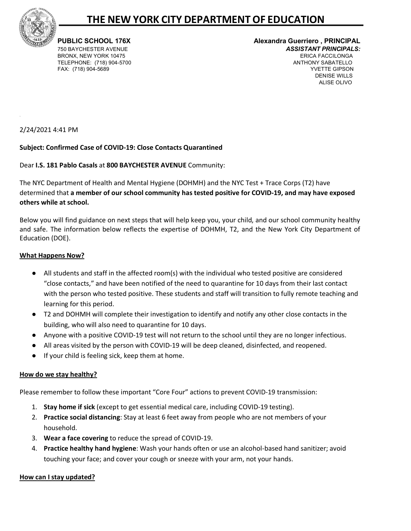

# **THE NEW YORK CITY DEPARTMENTOF EDUCATION**

TELEPHONE: (718) 904-5700

#### **PUBLIC SCHOOL 176X Alexandra Guerriero , PRINCIPAL**  750 BAYCHESTER AVENUE *ASSISTANT PRINCIPALS:*  BRONX, NEW YORK 10475 ERICA FACCILONGA FAX: (718) 904-5689 YVETTE GIPSON DENISE WILLS ALISE OLIVO

## 2/24/2021 4:41 PM

## **Subject: Confirmed Case of COVID-19: Close Contacts Quarantined**

## Dear **I.S. 181 Pablo Casals** at **800 BAYCHESTER AVENUE** Community:

The NYC Department of Health and Mental Hygiene (DOHMH) and the NYC Test + Trace Corps (T2) have determined that **a member of our school community has tested positive for COVID-19, and may have exposed others while at school.**

Below you will find guidance on next steps that will help keep you, your child, and our school community healthy and safe. The information below reflects the expertise of DOHMH, T2, and the New York City Department of Education (DOE).

#### **What Happens Now?**

- All students and staff in the affected room(s) with the individual who tested positive are considered "close contacts," and have been notified of the need to quarantine for 10 days from their last contact with the person who tested positive. These students and staff will transition to fully remote teaching and learning for this period.
- T2 and DOHMH will complete their investigation to identify and notify any other close contacts in the building, who will also need to quarantine for 10 days.
- Anyone with a positive COVID-19 test will not return to the school until they are no longer infectious.
- All areas visited by the person with COVID-19 will be deep cleaned, disinfected, and reopened.
- If your child is feeling sick, keep them at home.

## **How do we stay healthy?**

Please remember to follow these important "Core Four" actions to prevent COVID-19 transmission:

- 1. **Stay home if sick** (except to get essential medical care, including COVID-19 testing).
- 2. **Practice social distancing**: Stay at least 6 feet away from people who are not members of your household.
- 3. **Wear a face covering** to reduce the spread of COVID-19.
- 4. **Practice healthy hand hygiene**: Wash your hands often or use an alcohol-based hand sanitizer; avoid touching your face; and cover your cough or sneeze with your arm, not your hands.

## **How can I stay updated?**